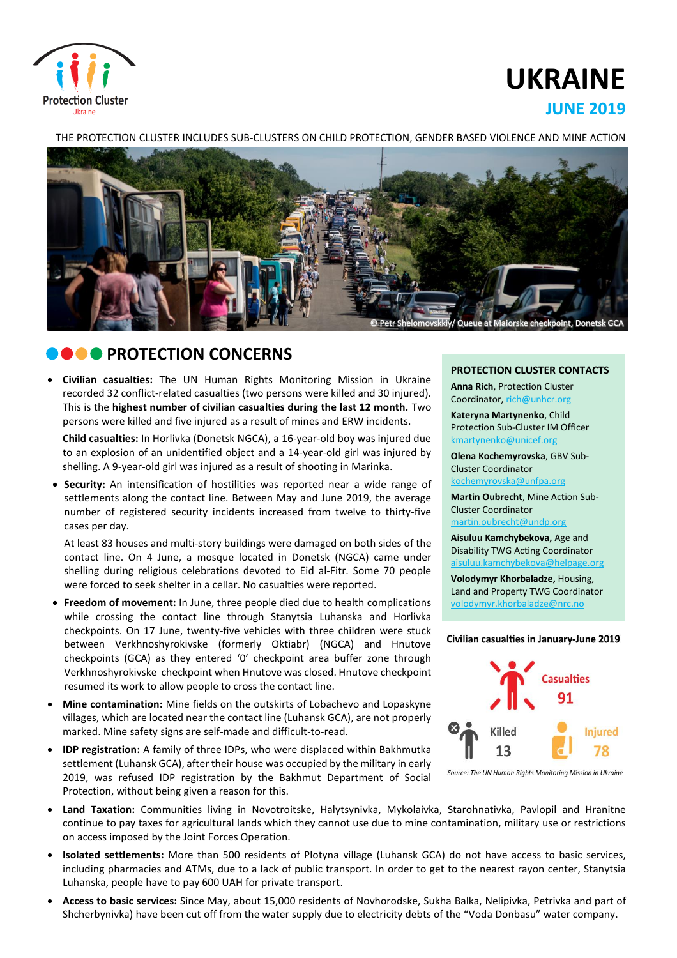

# **UKRAINE**

# **JUNE 2019**

THE PROTECTION CLUSTER INCLUDES SUB-CLUSTERS ON CHILD PROTECTION, GENDER BASED VIOLENCE AND MINE ACTION



# **CONCERNS**

 **Civilian casualties:** The UN Human Rights Monitoring Mission in Ukraine recorded 32 conflict-related casualties (two persons were killed and 30 injured). This is the **highest number of civilian casualties during the last 12 month.** Two persons were killed and five injured as a result of mines and ERW incidents.

**Child casualties:** In Horlivka (Donetsk NGCA), a 16-year-old boy was injured due to an explosion of an unidentified object and a 14-year-old girl was injured by shelling. A 9-year-old girl was injured as a result of shooting in Marinka.

 **Security:** An intensification of hostilities was reported near a wide range of settlements along the contact line. Between May and June 2019, the average number of registered security incidents increased from twelve to thirty-five cases per day.

At least 83 houses and multi-story buildings were damaged on both sides of the contact line. On 4 June, a mosque located in Donetsk (NGCA) came under shelling during religious celebrations devoted to Eid al-Fitr. Some 70 people were forced to seek shelter in a cellar. No casualties were reported.

- **Freedom of movement:** In June, three people died due to health complications while crossing the contact line through Stanytsia Luhanska and Horlivka checkpoints. On 17 June, twenty-five vehicles with three children were stuck between Verkhnoshyrokivske (formerly Oktiabr) (NGCA) and Hnutove checkpoints (GCA) as they entered '0' сheckpoint area buffer zone through Verkhnoshyrokivske checkpoint when Hnutove was closed. Hnutove checkpoint resumed its work to allow people to cross the contact line.
- **Mine contamination:** Mine fields on the outskirts of Lobachevo and Lopaskyne villages, which are located near the contact line (Luhansk GCA), are not properly marked. Mine safety signs are self-made and difficult-to-read.
- **IDP registration:** A family of three IDPs, who were displaced within Bakhmutka settlement (Luhansk GCA), after their house was occupied by the military in early 2019, was refused IDP registration by the Bakhmut Department of Social Protection, without being given a reason for this.

#### **PROTECTION CLUSTER CONTACTS**

**Anna Rich**, Protection Cluster Coordinator, [rich@unhcr.org](mailto:rich@unhcr.org)

**Kateryna Martynenko**, Child Protection Sub-Cluster IM Officer kmartynenko@unicef.org

**Olena Kochemyrovska**, GBV Sub-Cluster Coordinator [kochemyrovska@unfpa.org](mailto:kristesashvili@unfpa.org)

**Martin Oubrecht**, Mine Action Sub-Cluster Coordinator [martin.oubrecht@undp.org](mailto:martin.oubrecht@undp.org)

**Aisuluu Kamchybekova,** Age and Disability TWG Acting Coordinator aisuluu.kamchybekova@helpage.org

**Volodymyr Khorbaladze,** Housing, Land and Property TWG Coordinator [volodymyr.khorbaladze@nrc.no](mailto:volodymyr.khorbaladze@nrc.no)

#### Civilian casualties in January-June 2019



Source: The UN Human Rights Monitoring Mission in Ukraine

- **Land Taxation:** Communities living in Novotroitske, Halytsynivka, Mykolaivka, Starohnativka, Pavlopil and Hranitne continue to pay taxes for agricultural lands which they cannot use due to mine contamination, military use or restrictions on access imposed by the Joint Forces Operation.
- **Isolated settlements:** More than 500 residents of Plotyna village (Luhansk GCA) do not have access to basic services, including pharmacies and ATMs, due to a lack of public transport. In order to get to the nearest rayon center, Stanytsia Luhanska, people have to pay 600 UAH for private transport.
- **Access to basic services:** Since May, about 15,000 residents of Novhorodske, Sukha Balka, Nelipivka, Petrivka and part of Shcherbynivka) have been cut off from the water supply due to electricity debts of the "Voda Donbasu" water company.